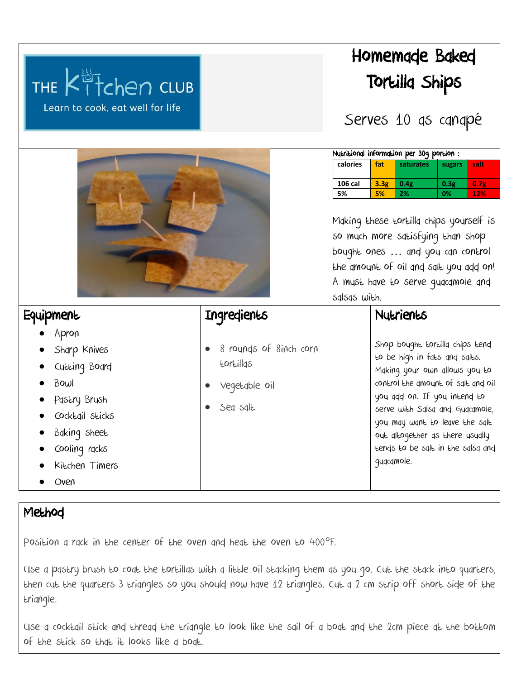|                                                      |                        |                                                                                                                                                                                                                  | Homemade Baked                                                       |           |        |                  |  |
|------------------------------------------------------|------------------------|------------------------------------------------------------------------------------------------------------------------------------------------------------------------------------------------------------------|----------------------------------------------------------------------|-----------|--------|------------------|--|
| THE Kitchen CLUB<br>Learn to cook, eat well for life |                        | Tortilla Ships                                                                                                                                                                                                   |                                                                      |           |        |                  |  |
|                                                      |                        | Serves 10 as canapé                                                                                                                                                                                              |                                                                      |           |        |                  |  |
|                                                      |                        | Nutritional information per 30g portion:                                                                                                                                                                         |                                                                      |           |        |                  |  |
|                                                      |                        | calories                                                                                                                                                                                                         | fat                                                                  | saturates | sugars | salt             |  |
|                                                      |                        | 106 cal                                                                                                                                                                                                          | 3.3 <sub>g</sub><br>0.4g                                             |           | 0.3g   | 0.7 <sub>g</sub> |  |
|                                                      |                        | 5%                                                                                                                                                                                                               | 5%<br>2%                                                             |           | 0%     | 12%              |  |
|                                                      |                        | Making these tortilla chips yourself is<br>so much more satisfying than shop<br>bought ones  and you can control<br>the amount of oil and salt you add on!<br>A must have to serve guacamole and<br>salsas with. |                                                                      |           |        |                  |  |
| Equipment                                            | Ingredients            |                                                                                                                                                                                                                  | Nutrients                                                            |           |        |                  |  |
| Apron                                                |                        |                                                                                                                                                                                                                  |                                                                      |           |        |                  |  |
| Sharp Knives                                         | 8 rounds of 8inch corn | Shop bought tortilla chips tend                                                                                                                                                                                  |                                                                      |           |        |                  |  |
| Cutting Board                                        | tortillas              |                                                                                                                                                                                                                  | to be high in fats and salts.                                        |           |        |                  |  |
| Bowl                                                 |                        |                                                                                                                                                                                                                  | Making your own allows you to<br>control the gmount of salt and oil  |           |        |                  |  |
| Pastry Brush                                         | Vegetable oil          |                                                                                                                                                                                                                  | you add on. If you intend to                                         |           |        |                  |  |
| Cocktail sticks                                      | Seq sqlt               |                                                                                                                                                                                                                  | serve with Salsa and Guacamole,                                      |           |        |                  |  |
| Baking sheet                                         |                        |                                                                                                                                                                                                                  | you may want to leave the salt                                       |           |        |                  |  |
|                                                      |                        |                                                                                                                                                                                                                  | out altogether as there usually<br>tends to be salt in the salsa and |           |        |                  |  |
| cooling racks<br>Kitchen Timers                      |                        |                                                                                                                                                                                                                  | guacamole.                                                           |           |        |                  |  |
|                                                      |                        |                                                                                                                                                                                                                  |                                                                      |           |        |                  |  |
| Oven                                                 |                        |                                                                                                                                                                                                                  |                                                                      |           |        |                  |  |

## Method

Position a rack in the center of the oven and heat the oven to 400°F.

Use a pastry brush to coat the tortillas with a little oil stacking them as you go. Cut the stack into quarters, then cut the quarters 3 triangles so you should now have 12 triangles. Cut a 2 cm strip off short side of the triangle.

Use a cocktail stick and thread the triangle to look like the sail of a boat and the 2cm piece at the bottom of the stick so that it looks like a boat.